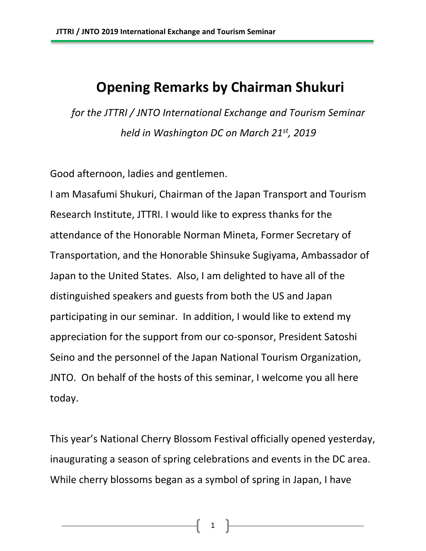## **Opening Remarks by Chairman Shukuri**

*for the JTTRI / JNTO International Exchange and Tourism Seminar held in Washington DC on March 21st, 2019*

Good afternoon, ladies and gentlemen.

I am Masafumi Shukuri, Chairman of the Japan Transport and Tourism Research Institute, JTTRI. I would like to express thanks for the attendance of the Honorable Norman Mineta, Former Secretary of Transportation, and the Honorable Shinsuke Sugiyama, Ambassador of Japan to the United States. Also, I am delighted to have all of the distinguished speakers and guests from both the US and Japan participating in our seminar. In addition, I would like to extend my appreciation for the support from our co-sponsor, President Satoshi Seino and the personnel of the Japan National Tourism Organization, JNTO. On behalf of the hosts of this seminar, I welcome you all here today.

This year's National Cherry Blossom Festival officially opened yesterday, inaugurating a season of spring celebrations and events in the DC area. While cherry blossoms began as a symbol of spring in Japan, I have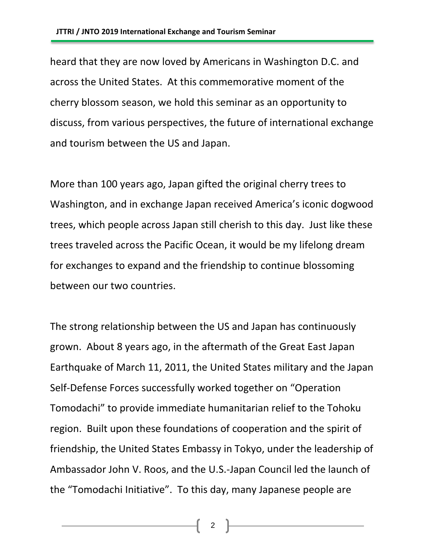heard that they are now loved by Americans in Washington D.C. and across the United States. At this commemorative moment of the cherry blossom season, we hold this seminar as an opportunity to discuss, from various perspectives, the future of international exchange and tourism between the US and Japan.

More than 100 years ago, Japan gifted the original cherry trees to Washington, and in exchange Japan received America's iconic dogwood trees, which people across Japan still cherish to this day. Just like these trees traveled across the Pacific Ocean, it would be my lifelong dream for exchanges to expand and the friendship to continue blossoming between our two countries.

The strong relationship between the US and Japan has continuously grown. About 8 years ago, in the aftermath of the Great East Japan Earthquake of March 11, 2011, the United States military and the Japan Self-Defense Forces successfully worked together on "Operation Tomodachi" to provide immediate humanitarian relief to the Tohoku region. Built upon these foundations of cooperation and the spirit of friendship, the United States Embassy in Tokyo, under the leadership of Ambassador John V. Roos, and the U.S.-Japan Council led the launch of the "Tomodachi Initiative". To this day, many Japanese people are

2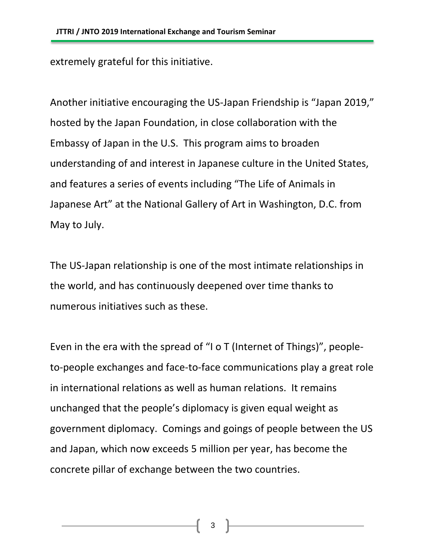extremely grateful for this initiative.

Another initiative encouraging the US-Japan Friendship is "Japan 2019," hosted by the Japan Foundation, in close collaboration with the Embassy of Japan in the U.S. This program aims to broaden understanding of and interest in Japanese culture in the United States, and features a series of events including "The Life of Animals in Japanese Art" at the National Gallery of Art in Washington, D.C. from May to July.

The US-Japan relationship is one of the most intimate relationships in the world, and has continuously deepened over time thanks to numerous initiatives such as these.

Even in the era with the spread of "I o T (Internet of Things)", peopleto-people exchanges and face-to-face communications play a great role in international relations as well as human relations. It remains unchanged that the people's diplomacy is given equal weight as government diplomacy. Comings and goings of people between the US and Japan, which now exceeds 5 million per year, has become the concrete pillar of exchange between the two countries.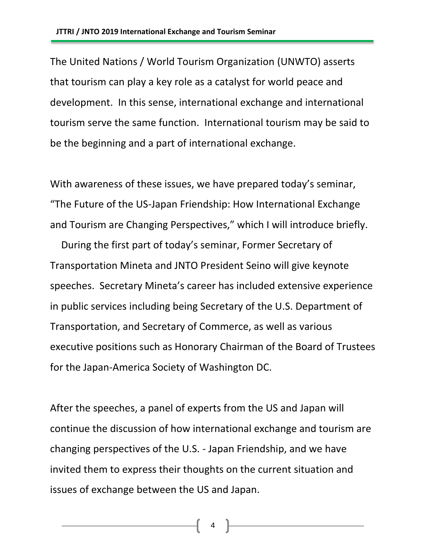The United Nations / World Tourism Organization (UNWTO) asserts that tourism can play a key role as a catalyst for world peace and development. In this sense, international exchange and international tourism serve the same function. International tourism may be said to be the beginning and a part of international exchange.

With awareness of these issues, we have prepared today's seminar, "The Future of the US-Japan Friendship: How International Exchange and Tourism are Changing Perspectives," which I will introduce briefly.

During the first part of today's seminar, Former Secretary of Transportation Mineta and JNTO President Seino will give keynote speeches. Secretary Mineta's career has included extensive experience in public services including being Secretary of the U.S. Department of Transportation, and Secretary of Commerce, as well as various executive positions such as Honorary Chairman of the Board of Trustees for the Japan-America Society of Washington DC.

After the speeches, a panel of experts from the US and Japan will continue the discussion of how international exchange and tourism are changing perspectives of the U.S. - Japan Friendship, and we have invited them to express their thoughts on the current situation and issues of exchange between the US and Japan.